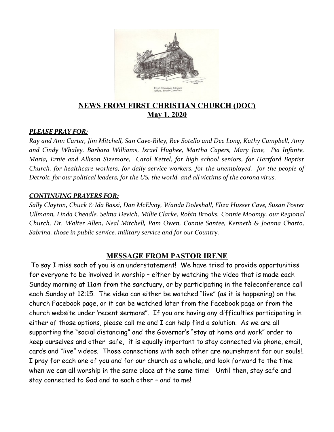

### **NEWS FROM FIRST CHRISTIAN CHURCH (DOC) May 1, 2020**

#### *PLEASE PRAY FOR:*

*Ray and Ann Carter, Jim Mitchell, San Cave-Riley, Rev Sotello and Dee Long, Kathy Campbell, Amy and Cindy Whaley, Barbara Williams, Israel Hughee, Martha Capers, Mary Jane, Pia Infante, Maria, Ernie and Allison Sizemore, Carol Kettel, for high school seniors, for Hartford Baptist Church, for healthcare workers, for daily service workers, for the unemployed, for the people of Detroit, for our political leaders, for the US, the world, and all victims of the corona virus.* 

#### *CONTINUING PRAYERS FOR:*

*Sally Clayton, Chuck & Ida Bassi, Dan McElvoy, Wanda Doleshall, Eliza Husser Cave, Susan Poster Ullmann, Linda Cheadle, Selma Devich, Millie Clarke, Robin Brooks, Connie Moomjy, our Regional Church, Dr. Walter Allen, Neal Mitchell, Pam Owen, Connie Santee, Kenneth & Joanna Chatto, Sabrina, those in public service, military service and for our Country.*

#### **MESSAGE FROM PASTOR IRENE**

 To say I miss each of you is an understatement! We have tried to provide opportunities for everyone to be involved in worship – either by watching the video that is made each Sunday morning at 11am from the sanctuary, or by participating in the teleconference call each Sunday at 12:15. The video can either be watched "live" (as it is happening) on the church Facebook page, or it can be watched later from the Facebook page or from the church website under 'recent sermons". If you are having any difficulties participating in either of those options, please call me and I can help find a solution. As we are all supporting the "social distancing" and the Governor's "stay at home and work" order to keep ourselves and other safe, it is equally important to stay connected via phone, email, cards and "live" videos. Those connections with each other are nourishment for our souls!. I pray for each one of you and for our church as a whole, and look forward to the time when we can all worship in the same place at the same time! Until then, stay safe and stay connected to God and to each other – and to me!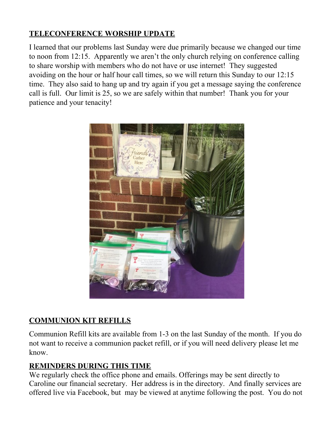## **TELECONFERENCE WORSHIP UPDATE**

I learned that our problems last Sunday were due primarily because we changed our time to noon from 12:15. Apparently we aren't the only church relying on conference calling to share worship with members who do not have or use internet! They suggested avoiding on the hour or half hour call times, so we will return this Sunday to our 12:15 time. They also said to hang up and try again if you get a message saying the conference call is full. Our limit is 25, so we are safely within that number! Thank you for your patience and your tenacity!



# **COMMUNION KIT REFILLS**

Communion Refill kits are available from 1-3 on the last Sunday of the month. If you do not want to receive a communion packet refill, or if you will need delivery please let me know.

## **REMINDERS DURING THIS TIME**

We regularly check the office phone and emails. Offerings may be sent directly to Caroline our financial secretary. Her address is in the directory. And finally services are offered live via Facebook, but may be viewed at anytime following the post. You do not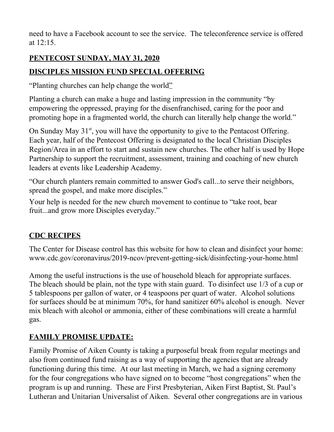need to have a Facebook account to see the service. The teleconference service is offered at 12:15.

### **PENTECOST SUNDAY, MAY 31, 2020**

## **DISCIPLES MISSION FUND SPECIAL OFFERING**

"Planting churches can help change the world"

Planting a church can make a huge and lasting impression in the community "by empowering the oppressed, praying for the disenfranchised, caring for the poor and promoting hope in a fragmented world, the church can literally help change the world."

On Sunday May  $31<sup>st</sup>$ , you will have the opportunity to give to the Pentacost Offering. Each year, half of the Pentecost Offering is designated to the local Christian Disciples Region/Area in an effort to start and sustain new churches. The other half is used by Hope Partnership to support the recruitment, assessment, training and coaching of new church leaders at events like Leadership Academy.

"Our church planters remain committed to answer God's call...to serve their neighbors, spread the gospel, and make more disciples."

Your help is needed for the new church movement to continue to "take root, bear fruit...and grow more Disciples everyday."

## **CDC RECIPES**

The Center for Disease control has this website for how to clean and disinfect your home: www.cdc.gov/coronavirus/2019-ncov/prevent-getting-sick/disinfecting-your-home.html

Among the useful instructions is the use of household bleach for appropriate surfaces. The bleach should be plain, not the type with stain guard. To disinfect use 1/3 of a cup or 5 tablespoons per gallon of water, or 4 teaspoons per quart of water. Alcohol solutions for surfaces should be at minimum 70%, for hand sanitizer 60% alcohol is enough. Never mix bleach with alcohol or ammonia, either of these combinations will create a harmful gas.

# **FAMILY PROMISE UPDATE:**

Family Promise of Aiken County is taking a purposeful break from regular meetings and also from continued fund raising as a way of supporting the agencies that are already functioning during this time. At our last meeting in March, we had a signing ceremony for the four congregations who have signed on to become "host congregations" when the program is up and running. These are First Presbyterian, Aiken First Baptist, St. Paul's Lutheran and Unitarian Universalist of Aiken. Several other congregations are in various